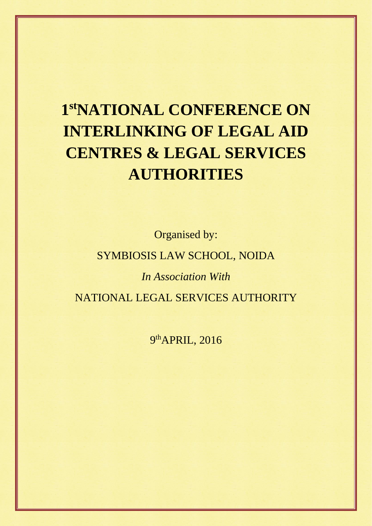# **1 stNATIONAL CONFERENCE ON INTERLINKING OF LEGAL AID CENTRES & LEGAL SERVICES AUTHORITIES**

Organised by:

## SYMBIOSIS LAW SCHOOL, NOIDA

*In Association With*

NATIONAL LEGAL SERVICES AUTHORITY

9th APRIL, 2016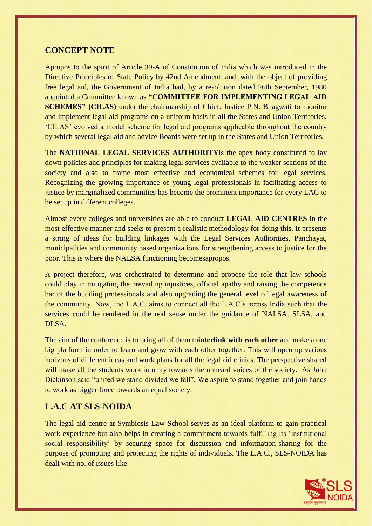## **CONCEPT NOTE**

Apropos to the spirit of Article 39-A of Constitution of India which was introduced in the Directive Principles of State Policy by 42nd Amendment, and, with the object of providing free legal aid, the Government of India had, by a resolution dated 26th September, 1980 appointed a Committee known as **"COMMITTEE FOR IMPLEMENTING LEGAL AID SCHEMES" (CILAS)** under the chairmanship of Chief. Justice P.N. Bhagwati to monitor and implement legal aid programs on a uniform basis in all the States and Union Territories. 'CILAS' evolved a model scheme for legal aid programs applicable throughout the country by which several legal aid and advice Boards were set up in the States and Union Territories.

The **NATIONAL LEGAL SERVICES AUTHORITY**is the apex body constituted to lay down policies and principles for making legal services available to the weaker sections of the society and also to frame most effective and economical schemes for legal services. Recognizing the growing importance of young legal professionals in facilitating access to justice by marginalized communities has become the prominent importance for every LAC to be set up in different colleges.

Almost every colleges and universities are able to conduct **LEGAL AID CENTRES** in the most effective manner and seeks to present a realistic methodology for doing this. It presents a string of ideas for building linkages with the Legal Services Authorities, Panchayat, municipalities and community based organizations for strengthening access to justice for the poor. This is where the NALSA functioning becomesapropos.

A project therefore, was orchestrated to determine and propose the role that law schools could play in mitigating the prevailing injustices, official apathy and raising the competence bar of the budding professionals and also upgrading the general level of legal awareness of the community. Now, the L.A.C. aims to connect all the L.A.C's across India such that the services could be rendered in the real sense under the guidance of NALSA, SLSA, and DLSA.

The aim of the conference is to bring all of them to**interlink with each other** and make a one big platform in order to learn and grow with each other together. This will open up various horizons of different ideas and work plans for all the legal aid clinics. The perspective shared will make all the students work in unity towards the unheard voices of the society. As John Dickinson said "united we stand divided we fall". We aspire to stand together and join hands to work as bigger force towards an equal society.

## **L.A.C AT SLS-NOIDA**

The legal aid centre at Symbiosis Law School serves as an ideal platform to gain practical work-experience but also helps in creating a commitment towards fulfilling its 'institutional social responsibility' by securing space for discussion and information-sharing for the purpose of promoting and protecting the rights of individuals. The L.A.C., SLS-NOIDA has dealt with no. of issues like-

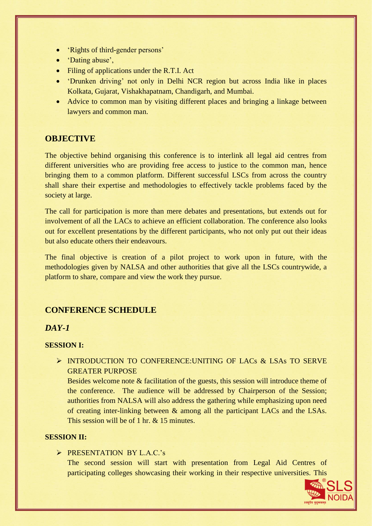- 'Rights of third-gender persons'
- 'Dating abuse',
- Filing of applications under the R.T.I. Act
- 'Drunken driving' not only in Delhi NCR region but across India like in places Kolkata, Gujarat, Vishakhapatnam, Chandigarh, and Mumbai.
- Advice to common man by visiting different places and bringing a linkage between lawyers and common man.

## **OBJECTIVE**

The objective behind organising this conference is to interlink all legal aid centres from different universities who are providing free access to justice to the common man, hence bringing them to a common platform. Different successful LSCs from across the country shall share their expertise and methodologies to effectively tackle problems faced by the society at large.

The call for participation is more than mere debates and presentations, but extends out for involvement of all the LACs to achieve an efficient collaboration. The conference also looks out for excellent presentations by the different participants, who not only put out their ideas but also educate others their endeavours.

The final objective is creation of a pilot project to work upon in future, with the methodologies given by NALSA and other authorities that give all the LSCs countrywide, a platform to share, compare and view the work they pursue.

## **CONFERENCE SCHEDULE**

## *DAY-1*

#### **SESSION I:**

INTRODUCTION TO CONFERENCE: UNITING OF LACS & LSAS TO SERVE GREATER PURPOSE

Besides welcome note & facilitation of the guests, this session will introduce theme of the conference. The audience will be addressed by Chairperson of the Session; authorities from NALSA will also address the gathering while emphasizing upon need of creating inter-linking between & among all the participant LACs and the LSAs. This session will be of 1 hr. & 15 minutes.

## **SESSION II:**

#### PRESENTATION BY L.A.C.'s

The second session will start with presentation from Legal Aid Centres of participating colleges showcasing their working in their respective universities. This

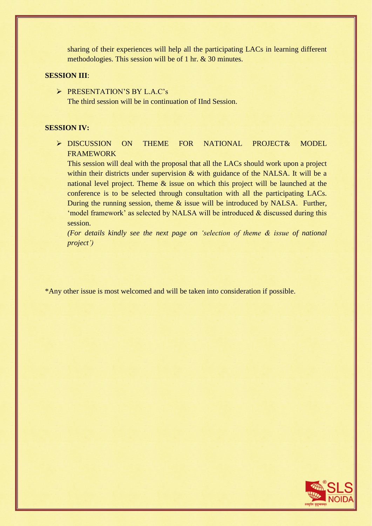sharing of their experiences will help all the participating LACs in learning different methodologies. This session will be of 1 hr. & 30 minutes.

#### **SESSION III**:

PRESENTATION'S BY L.A.C's The third session will be in continuation of IInd Session.

#### **SESSION IV:**

> DISCUSSION ON THEME FOR NATIONAL PROJECT& MODEL FRAMEWORK

This session will deal with the proposal that all the LACs should work upon a project within their districts under supervision & with guidance of the NALSA. It will be a national level project. Theme & issue on which this project will be launched at the conference is to be selected through consultation with all the participating LACs. During the running session, theme & issue will be introduced by NALSA. Further, 'model framework' as selected by NALSA will be introduced & discussed during this session.

*(For details kindly see the next page on 'selection of theme & issue of national project')*

\*Any other issue is most welcomed and will be taken into consideration if possible.

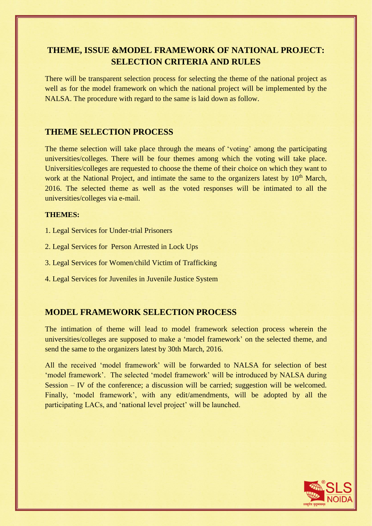## **THEME, ISSUE &MODEL FRAMEWORK OF NATIONAL PROJECT: SELECTION CRITERIA AND RULES**

There will be transparent selection process for selecting the theme of the national project as well as for the model framework on which the national project will be implemented by the NALSA. The procedure with regard to the same is laid down as follow.

## **THEME SELECTION PROCESS**

The theme selection will take place through the means of 'voting' among the participating universities/colleges. There will be four themes among which the voting will take place. Universities/colleges are requested to choose the theme of their choice on which they want to work at the National Project, and intimate the same to the organizers latest by 10<sup>th</sup> March, 2016. The selected theme as well as the voted responses will be intimated to all the universities/colleges via e-mail.

#### **THEMES:**

- 1. Legal Services for Under-trial Prisoners
- 2. Legal Services for Person Arrested in Lock Ups
- 3. Legal Services for Women/child Victim of Trafficking
- 4. Legal Services for Juveniles in Juvenile Justice System

## **MODEL FRAMEWORK SELECTION PROCESS**

The intimation of theme will lead to model framework selection process wherein the universities/colleges are supposed to make a 'model framework' on the selected theme, and send the same to the organizers latest by 30th March, 2016.

All the received 'model framework' will be forwarded to NALSA for selection of best 'model framework'. The selected 'model framework' will be introduced by NALSA during Session – IV of the conference; a discussion will be carried; suggestion will be welcomed. Finally, 'model framework', with any edit/amendments, will be adopted by all the participating LACs, and 'national level project' will be launched.

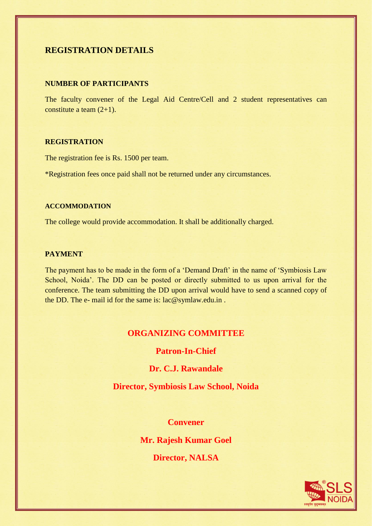## **REGISTRATION DETAILS**

#### **NUMBER OF PARTICIPANTS**

The faculty convener of the Legal Aid Centre/Cell and 2 student representatives can constitute a team (2+1).

## **REGISTRATION**

The registration fee is Rs. 1500 per team.

\*Registration fees once paid shall not be returned under any circumstances.

#### **ACCOMMODATION**

The college would provide accommodation. It shall be additionally charged.

#### **PAYMENT**

The payment has to be made in the form of a 'Demand Draft' in the name of 'Symbiosis Law School, Noida'. The DD can be posted or directly submitted to us upon arrival for the conference. The team submitting the DD upon arrival would have to send a scanned copy of the DD. The e- mail id for the same is: [lac@symlaw.edu.in](mailto:lac@symlaw.edu.in) .

## **ORGANIZING COMMITTEE**

## **Patron-In-Chief**

## **Dr. C.J. Rawandale**

**Director, Symbiosis Law School, Noida**

## **Convener**

**Mr. Rajesh Kumar Goel**

**Director, NALSA**